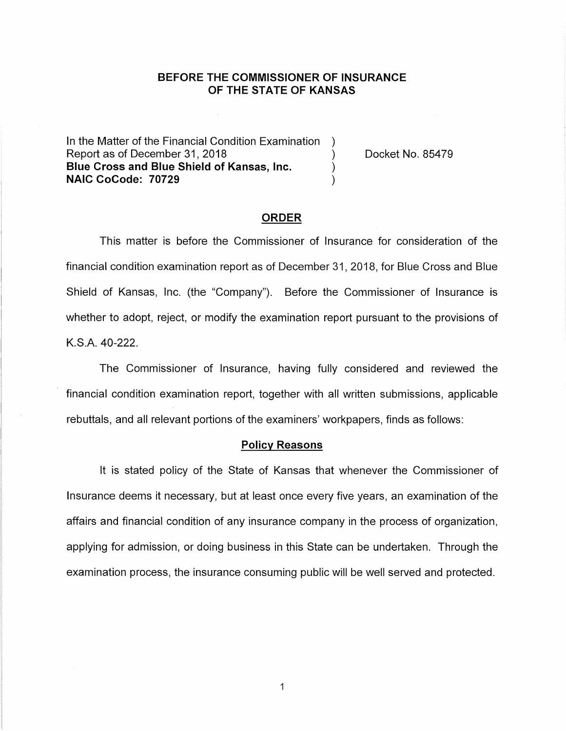# **BEFORE THE COMMISSIONER OF INSURANCE OF THE STATE OF KANSAS**

In the Matter of the Financial Condition Examination ) Report as of December 31, 2018 (a) The Cooket No. 85479 **Blue Cross and Blue Shield of Kansas, Inc.** ) **NAIC CoCode: 70729** )

#### **ORDER**

This matter is before the Commissioner of Insurance for consideration of the financial condition examination report as of December 31, 2018, for Blue Cross and Blue Shield of Kansas, Inc. (the "Company"). Before the Commissioner of Insurance is whether to adopt, reject, or modify the examination report pursuant to the provisions of K.S.A. 40-222.

The Commissioner of Insurance, having fully considered and reviewed the financial condition examination report, together with all written submissions, applicable rebuttals, and all relevant portions of the examiners' workpapers, finds as follows:

### **Policy Reasons**

It is stated policy of the State of Kansas that whenever the Commissioner of Insurance deems it necessary, but at least once every five years, an examination of the affairs and financial condition of any insurance company in the process of organization, applying for admission, or doing business in this State can be undertaken. Through the examination process, the insurance consuming public will be well served and protected.

 $\mathbf{1}$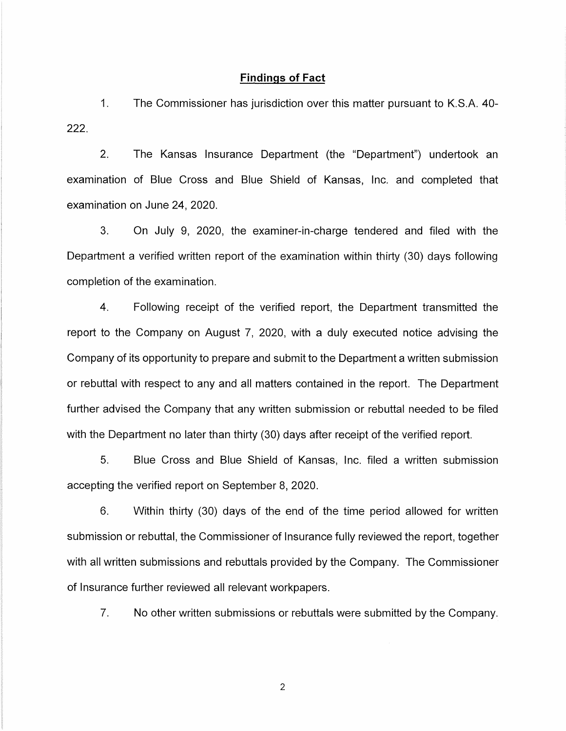### **Findings of Fact**

1. The Commissioner has jurisdiction over this matter pursuant to K.S.A. 40- **222.** 

2. The Kansas Insurance Department (the "Department") undertook an examination of Blue Cross and Blue Shield of Kansas, Inc. and completed that examination on June 24, 2020.

3. On July 9, 2020, the examiner-in-charge tendered and filed with the Department a verified written report of the examination within thirty (30) days following completion of the examination.

4. Following receipt of the verified report, the Department transmitted the report to the Company on August 7, 2020, with a duly executed notice advising the Company of its opportunity to prepare and submit to the Department a written submission or rebuttal with respect to any and all matters contained in the report. The Department further advised the Company that any written submission or rebuttal needed to be filed with the Department no later than thirty (30) days after receipt of the verified report.

5. Blue Cross and Blue Shield of Kansas, Inc. filed a written submission accepting the verified report on September 8, 2020.

6. Within thirty (30) days of the end of the time period allowed for written submission or rebuttal, the Commissioner of Insurance fully reviewed the report, together with all written submissions and rebuttals provided by the Company. The Commissioner of Insurance further reviewed all relevant workpapers.

7. No other written submissions or rebuttals were submitted by the Company.

2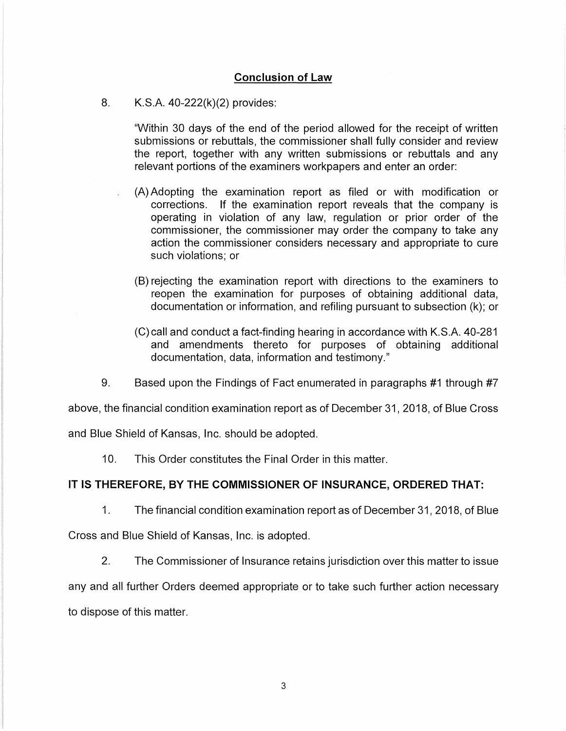# **Conclusion of Law**

### 8. K.S.A. 40-222(k)(2) provides:

"Within 30 days of the end of the period allowed for the receipt of written submissions or rebuttals, the commissioner shall fully consider and review the report, together with any written submissions or rebuttals and any relevant portions of the examiners workpapers and enter an order:

- (A) Adopting the examination report as filed or with modification or corrections. If the examination report reveals that the company is operating in violation of any law, regulation or prior order of the commissioner, the commissioner may order the company to take any action the commissioner considers necessary and appropriate to cure such violations; or
- (8) rejecting the examination report with directions to the examiners to reopen the examination for purposes of obtaining additional data, documentation or information, and refiling pursuant to subsection (k); or
- (C) call and conduct a fact-finding hearing in accordance with K.S.A. 40-281 and amendments thereto for purposes of obtaining additional documentation, data, information and testimony."
- 9. Based upon the Findings of Fact enumerated in paragraphs #1 through #7

above, the financial condition examination report as of December 31, 2018, of Blue Cross

and Blue Shield of Kansas, Inc. should be adopted.

10. This Order constitutes the Final Order in this matter.

# **IT IS THEREFORE, BY THE COMMISSIONER OF INSURANCE, ORDERED THAT:**

1. The financial condition examination report as of December 31, 2018, of Blue

Cross and Blue Shield of Kansas, Inc. is adopted.

2. The Commissioner of Insurance retains jurisdiction over this matter to issue

any and all further Orders deemed appropriate or to take such further action necessary to dispose of this matter.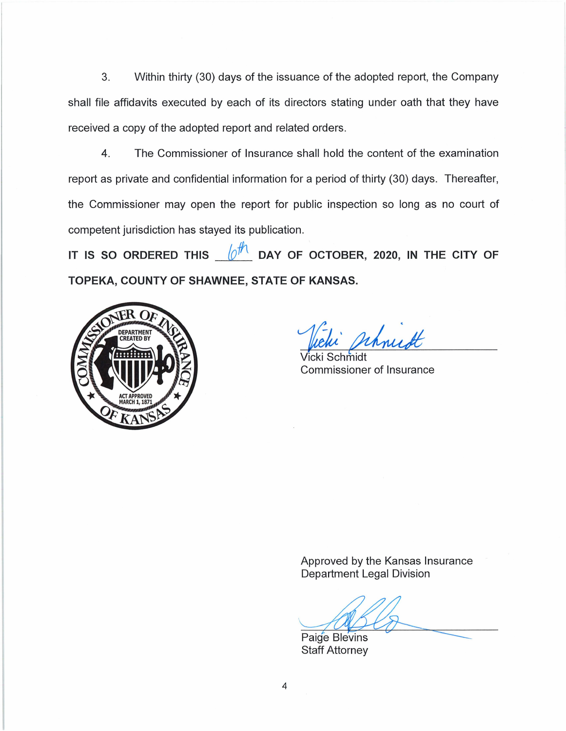3. Within thirty (30) days of the issuance of the adopted report, the Company shall file affidavits executed by each of its directors stating under oath that they have received a copy of the adopted report and related orders.

4. The Commissioner of Insurance shall hold the content of the examination report as private and confidential information for a period of thirty (30) days. Thereafter, the Commissioner may open the report for public inspection so long as no court of competent jurisdiction has stayed its publication.

IT IS SO ORDERED THIS  $\oint_{\mathcal{O}} \frac{f}{f}$  DAY OF OCTOBER, 2020, IN THE CITY OF **TOPEKA, COUNTY OF SHAWNEE, STATE OF KANSAS.** 



whurt

 $cki$  Schmidt Commissioner of Insurance

Approved by the Kansas Insurance Department Legal Division

Department Legal Division<br>Paige Blevins<br>Staff Attorney